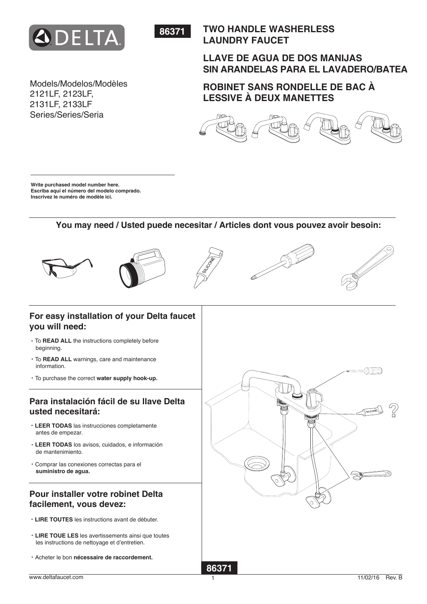



# **TWO HANDLE WASHERLESS LAUNDRY FAUCET**

# **LLAVE DE AGUA DE DOS MANIJAS SIN ARANDELAS PARA EL LAVADERO/BATEA**

**ROBINET SANS RONDELLE DE BAC À LESSIVE À DEUX MANETTES**



2131LF, 2133LF Series/Series/Seria

Models/Modelos/Modèles

2121LF, 2123LF,

**Write purchased model number here. Escriba aquí el número del modelo comprado. Inscrivez le numéro de modèle ici.**

## **You may need / Usted puede necesitar / Articles dont vous pouvez avoir besoin:**



# **For easy installation of your Delta faucet you will need:**

- ・To **READ ALL** the instructions completely before beginning.
- ・To **READ ALL** warnings, care and maintenance information.
- ・To purchase the correct **water supply hook-up.**

# **Para instalación fácil de su llave Delta usted necesitará:**

- ・**LEER TODAS** las instrucciones completamente antes de empezar.
- ・**LEER TODAS** los avisos, cuidados, e información de mantenimiento.
- ・Comprar las conexiones correctas para el  **suministro de agua.**

# **Pour installer votre robinet Delta facilement, vous devez:**

- ・**LIRE TOUTES** les instructions avant de débuter.
- ・**LIRE TOUE LES** les avertissements ainsi que toutes les instructions de nettoyage et d'entretien.
- ・Acheter le bon **nécessaire de raccordement.**





1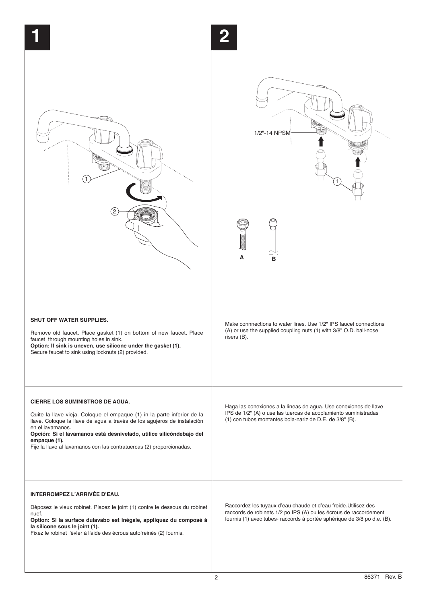| (2)                                                                                                                                                                                                                                                                                                                                                                             | 2<br>1/2" 14 NPSM<br>A<br>в                                                                                                                                                                                     |
|---------------------------------------------------------------------------------------------------------------------------------------------------------------------------------------------------------------------------------------------------------------------------------------------------------------------------------------------------------------------------------|-----------------------------------------------------------------------------------------------------------------------------------------------------------------------------------------------------------------|
| <b>SHUT OFF WATER SUPPLIES.</b><br>Remove old faucet. Place gasket (1) on bottom of new faucet. Place<br>faucet through mounting holes in sink.<br>Option: If sink is uneven, use silicone under the gasket (1).<br>Secure faucet to sink using locknuts (2) provided.                                                                                                          | Make connnections to water lines. Use 1/2" IPS faucet connections<br>(A) or use the supplied coupling nuts (1) with 3/8" O.D. ball-nose<br>risers (B).                                                          |
| <b>CIERRE LOS SUMINISTROS DE AGUA.</b><br>Quite la llave vieja. Coloque el empaque (1) in la parte inferior de la<br>llave. Coloque la llave de agua a través de los agujeros de instalación<br>en el lavamanos.<br>Opción: Si el lavamanos está desnivelado, utilice silicóndebajo del<br>empaque (1).<br>Fije la llave al lavamanos con las contratuercas (2) proporcionadas. | Haga las conexiones a la líneas de agua. Use conexiones de llave<br>IPS de 1/2" (A) o use las tuercas de acoplamiento suministradas<br>(1) con tubos montantes bola-nariz de D.E. de 3/8" (B).                  |
| <b>INTERROMPEZ L'ARRIVÉE D'EAU.</b><br>Déposez le vieux robinet. Placez le joint (1) contre le dessous du robinet<br>nuef.<br>Option: Si la surface dulavabo est inégale, appliquez du composé à<br>la silicone sous le joint (1).<br>Fixez le robinet l'évler à l'aide des écrous autofreinés (2) fournis.                                                                     | Raccordez les tuyaux d'eau chaude et d'eau froide. Utilisez des<br>raccords de robinets 1/2 po IPS (A) ou les écrous de raccordement<br>fournis (1) avec tubes- raccords à portée sphérique de 3/8 po d.e. (B). |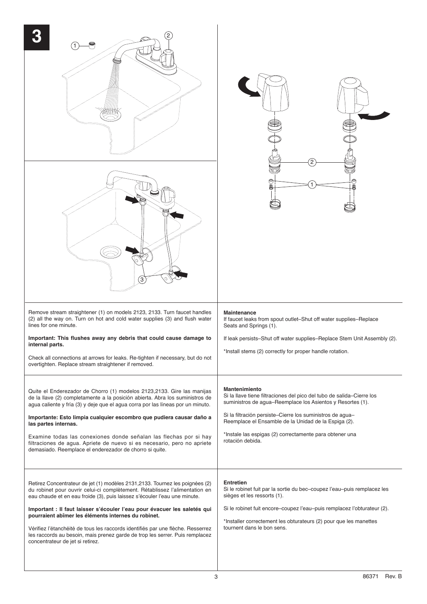| 2<br>3                                                                                                                                                                                                                                                                                                                                                                                                                                                                                                                                                                             | 2<br>U                                                                                                                                                                                                                                                                                                                                                   |
|------------------------------------------------------------------------------------------------------------------------------------------------------------------------------------------------------------------------------------------------------------------------------------------------------------------------------------------------------------------------------------------------------------------------------------------------------------------------------------------------------------------------------------------------------------------------------------|----------------------------------------------------------------------------------------------------------------------------------------------------------------------------------------------------------------------------------------------------------------------------------------------------------------------------------------------------------|
| Remove stream straightener (1) on models 2123, 2133. Turn faucet handles<br>(2) all the way on. Turn on hot and cold water supplies (3) and flush water<br>lines for one minute.<br>Important: This flushes away any debris that could cause damage to<br>internal parts.<br>Check all connections at arrows for leaks. Re-tighten if necessary, but do not<br>overtighten. Replace stream straightener if removed.                                                                                                                                                                | Maintenance<br>If faucet leaks from spout outlet-Shut off water supplies-Replace<br>Seats and Springs (1).<br>If leak persists-Shut off water supplies-Replace Stem Unit Assembly (2).<br>*Install stems (2) correctly for proper handle rotation.                                                                                                       |
| Quite el Enderezador de Chorro (1) modelos 2123,2133. Gire las manijas<br>de la llave (2) completamente a la posición abierta. Abra los suministros de<br>agua caliente y fría (3) y deje que el agua corra por las líneas por un minuto.<br>Importante: Esto limpia cualquier escombro que pudiera causar daño a<br>las partes internas.<br>Examine todas las conexiones donde señalan las flechas por si hay<br>filtraciones de agua. Apriete de nuevo si es necesario, pero no apriete<br>demasiado. Reemplace el enderezador de chorro si quite.                               | Mantenimiento<br>Si la llave tiene filtraciones del pico del tubo de salida-Cierre los<br>suministros de agua-Reemplace los Asientos y Resortes (1).<br>Si la filtración persiste-Cierre los suministros de agua-<br>Reemplace el Ensamble de la Unidad de la Espiga (2).<br>*Instale las espigas (2) correctamente para obtener una<br>rotación debida. |
| Retirez Concentrateur de jet (1) modèles 2131,2133. Tournez les poignées (2)<br>du robinet pour ouvrir celui-ci complètement. Rétablissez l'alimentation en<br>eau chaude et en eau froide (3), puis laissez s'écouler l'eau une minute.<br>Important : Il faut laisser s'écouler l'eau pour évacuer les saletés qui<br>pourraient abîmer les éléments internes du robinet.<br>Vérifiez l'étanchéité de tous les raccords identifiés par une flèche. Resserrez<br>les raccords au besoin, mais prenez garde de trop les serrer. Puis remplacez<br>concentrateur de jet si retirez. | <b>Entretien</b><br>Si le robinet fuit par la sortie du bec-coupez l'eau-puis remplacez les<br>sièges et les ressorts (1).<br>Si le robinet fuit encore-coupez l'eau-puis remplacez l'obturateur (2).<br>*Installer correctement les obturateurs (2) pour que les manettes<br>tournent dans le bon sens.                                                 |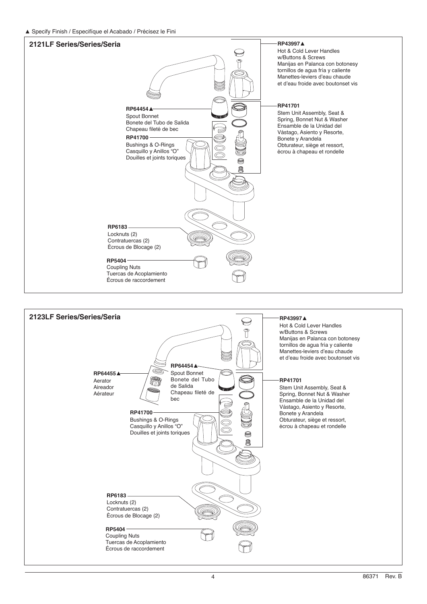**▲** Specify Finish / Especifíque el Acabado / Précisez le Fini



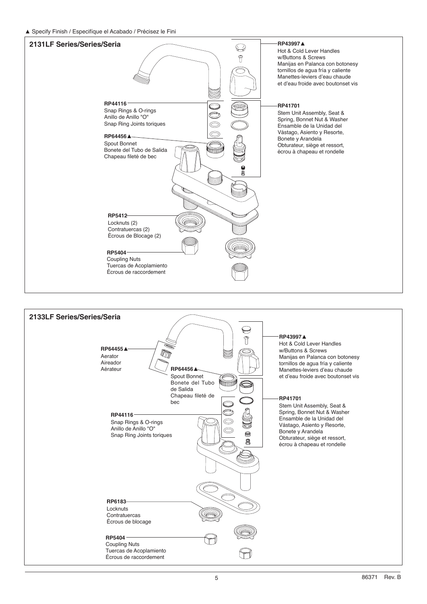**▲** Specify Finish / Especifíque el Acabado / Précisez le Fini